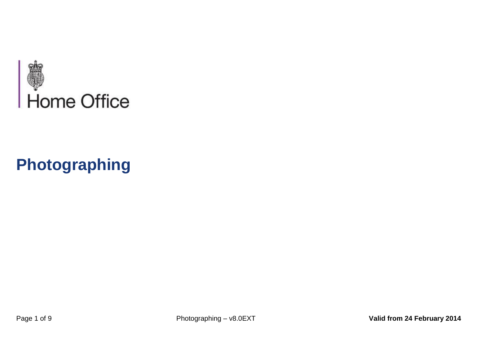<span id="page-0-0"></span>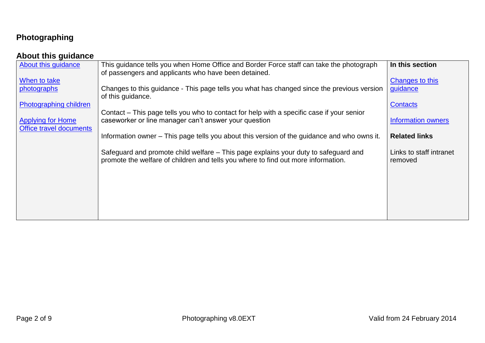#### <span id="page-1-0"></span>**About this guidance**

| About this guidance                                 | This guidance tells you when Home Office and Border Force staff can take the photograph<br>of passengers and applicants who have been detained.                          | In this section                    |
|-----------------------------------------------------|--------------------------------------------------------------------------------------------------------------------------------------------------------------------------|------------------------------------|
| When to take<br>photographs                         | Changes to this guidance - This page tells you what has changed since the previous version                                                                               | Changes to this<br>guidance        |
| Photographing children                              | of this guidance.                                                                                                                                                        | Contacts                           |
| <b>Applying for Home</b><br>Office travel documents | Contact – This page tells you who to contact for help with a specific case if your senior<br>caseworker or line manager can't answer your question                       | Information owners                 |
|                                                     | Information owner – This page tells you about this version of the guidance and who owns it.                                                                              | <b>Related links</b>               |
|                                                     | Safeguard and promote child welfare – This page explains your duty to safeguard and<br>promote the welfare of children and tells you where to find out more information. | Links to staff intranet<br>removed |
|                                                     |                                                                                                                                                                          |                                    |
|                                                     |                                                                                                                                                                          |                                    |
|                                                     |                                                                                                                                                                          |                                    |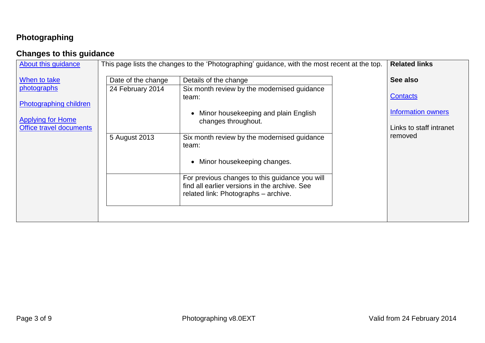## <span id="page-2-0"></span>**Changes to this guidance**

| This page lists the changes to the 'Photographing' guidance, with the most recent at the top.<br>About this guidance                                                                                                                                                                                                                                                                                                                                                                                                                                             | <b>Related links</b>                                                                           |
|------------------------------------------------------------------------------------------------------------------------------------------------------------------------------------------------------------------------------------------------------------------------------------------------------------------------------------------------------------------------------------------------------------------------------------------------------------------------------------------------------------------------------------------------------------------|------------------------------------------------------------------------------------------------|
| When to take<br>Date of the change<br>Details of the change<br>photographs<br>24 February 2014<br>Six month review by the modernised guidance<br>team:<br><b>Photographing children</b><br>Minor housekeeping and plain English<br><b>Applying for Home</b><br>changes throughout.<br>Office travel documents<br>5 August 2013<br>Six month review by the modernised guidance<br>team:<br>Minor housekeeping changes.<br>For previous changes to this guidance you will<br>find all earlier versions in the archive. See<br>related link: Photographs - archive. | See also<br><b>Contacts</b><br><b>Information owners</b><br>Links to staff intranet<br>removed |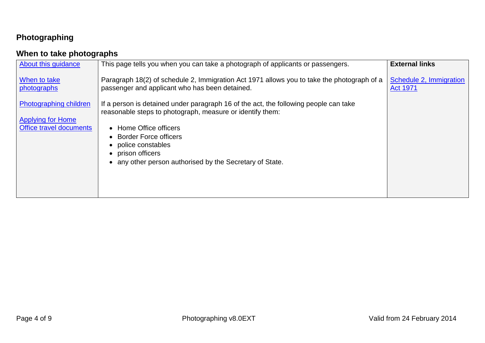## <span id="page-3-0"></span>**When to take photographs**

| About this guidance                                                           | This page tells you when you can take a photograph of applicants or passengers.                                                                                                                                                                                                                                | <b>External links</b>                      |
|-------------------------------------------------------------------------------|----------------------------------------------------------------------------------------------------------------------------------------------------------------------------------------------------------------------------------------------------------------------------------------------------------------|--------------------------------------------|
| When to take<br>photographs                                                   | Paragraph 18(2) of schedule 2, Immigration Act 1971 allows you to take the photograph of a<br>passenger and applicant who has been detained.                                                                                                                                                                   | Schedule 2, Immigration<br><b>Act 1971</b> |
| Photographing children<br><b>Applying for Home</b><br>Office travel documents | If a person is detained under paragraph 16 of the act, the following people can take<br>reasonable steps to photograph, measure or identify them:<br>• Home Office officers<br>• Border Force officers<br>• police constables<br>• prison officers<br>• any other person authorised by the Secretary of State. |                                            |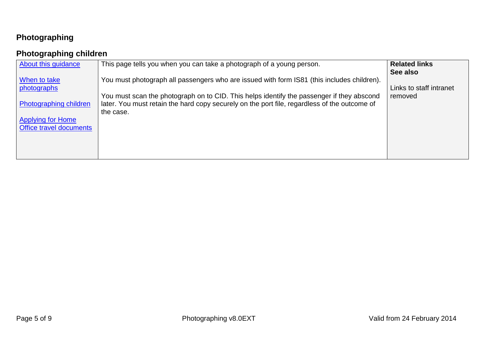## <span id="page-4-0"></span>**Photographing children**

| About this guidance                                 | This page tells you when you can take a photograph of a young person.                                                                                                                     | <b>Related links</b><br>See also |
|-----------------------------------------------------|-------------------------------------------------------------------------------------------------------------------------------------------------------------------------------------------|----------------------------------|
| When to take<br>photographs                         | You must photograph all passengers who are issued with form IS81 (this includes children).                                                                                                | Links to staff intranet          |
| Photographing children                              | You must scan the photograph on to CID. This helps identify the passenger if they abscond<br>later. You must retain the hard copy securely on the port file, regardless of the outcome of | removed                          |
| <b>Applying for Home</b><br>Office travel documents | the case.                                                                                                                                                                                 |                                  |
|                                                     |                                                                                                                                                                                           |                                  |
|                                                     |                                                                                                                                                                                           |                                  |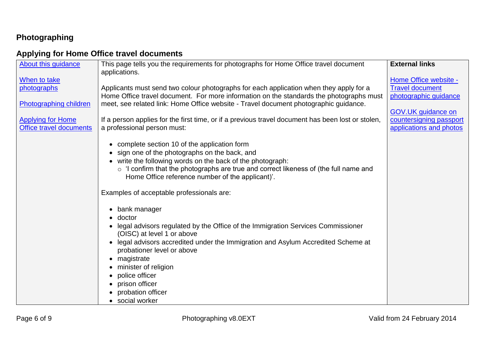#### <span id="page-5-0"></span>**Applying for Home Office travel documents**

| About this guidance      | This page tells you the requirements for photographs for Home Office travel document<br>applications. | <b>External links</b>   |
|--------------------------|-------------------------------------------------------------------------------------------------------|-------------------------|
| When to take             |                                                                                                       | Home Office website -   |
| photographs              | Applicants must send two colour photographs for each application when they apply for a                | <b>Travel document</b>  |
|                          | Home Office travel document. For more information on the standards the photographs must               | photographic guidance   |
| Photographing children   | meet, see related link: Home Office website - Travel document photographic guidance.                  |                         |
|                          |                                                                                                       | GOV.UK guidance on      |
| <b>Applying for Home</b> | If a person applies for the first time, or if a previous travel document has been lost or stolen,     | countersigning passport |
| Office travel documents  | a professional person must:                                                                           | applications and photos |
|                          |                                                                                                       |                         |
|                          | complete section 10 of the application form                                                           |                         |
|                          | sign one of the photographs on the back, and                                                          |                         |
|                          | • write the following words on the back of the photograph:                                            |                         |
|                          | o 'I confirm that the photographs are true and correct likeness of (the full name and                 |                         |
|                          | Home Office reference number of the applicant)'.                                                      |                         |
|                          |                                                                                                       |                         |
|                          | Examples of acceptable professionals are:                                                             |                         |
|                          |                                                                                                       |                         |
|                          | bank manager<br>$\bullet$                                                                             |                         |
|                          | doctor                                                                                                |                         |
|                          | legal advisors regulated by the Office of the Immigration Services Commissioner                       |                         |
|                          | (OISC) at level 1 or above                                                                            |                         |
|                          | legal advisors accredited under the Immigration and Asylum Accredited Scheme at                       |                         |
|                          | probationer level or above                                                                            |                         |
|                          | magistrate<br>$\bullet$                                                                               |                         |
|                          | minister of religion                                                                                  |                         |
|                          | police officer                                                                                        |                         |
|                          | prison officer                                                                                        |                         |
|                          | probation officer                                                                                     |                         |
|                          | • social worker                                                                                       |                         |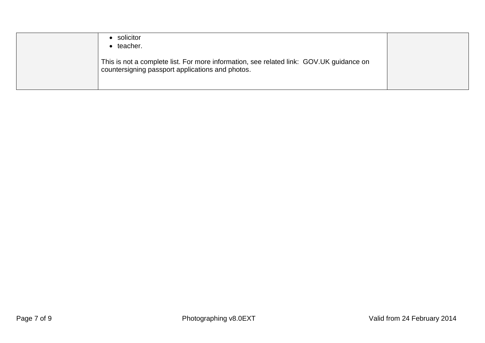| solicitor<br>teacher.                                                                                                                       |  |
|---------------------------------------------------------------------------------------------------------------------------------------------|--|
| This is not a complete list. For more information, see related link: GOV.UK guidance on<br>countersigning passport applications and photos. |  |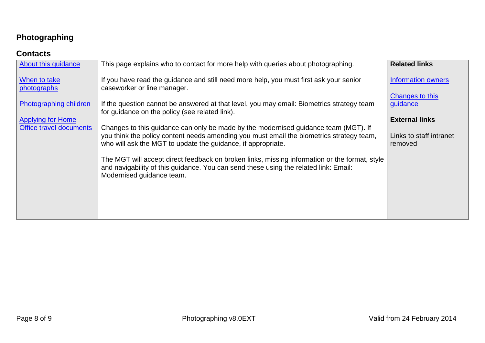#### <span id="page-7-0"></span>**Contacts**

| About this guidance         | This page explains who to contact for more help with queries about photographing.                                                                                                                                                               | <b>Related links</b>               |
|-----------------------------|-------------------------------------------------------------------------------------------------------------------------------------------------------------------------------------------------------------------------------------------------|------------------------------------|
| When to take<br>photographs | If you have read the guidance and still need more help, you must first ask your senior<br>caseworker or line manager.                                                                                                                           | Information owners                 |
| Photographing children      | If the question cannot be answered at that level, you may email: Biometrics strategy team<br>for guidance on the policy (see related link).                                                                                                     | Changes to this<br>guidance        |
| <b>Applying for Home</b>    |                                                                                                                                                                                                                                                 | <b>External links</b>              |
| Office travel documents     | Changes to this guidance can only be made by the modernised guidance team (MGT). If<br>you think the policy content needs amending you must email the biometrics strategy team,<br>who will ask the MGT to update the guidance, if appropriate. | Links to staff intranet<br>removed |
|                             | The MGT will accept direct feedback on broken links, missing information or the format, style<br>and navigability of this guidance. You can send these using the related link: Email:<br>Modernised guidance team.                              |                                    |
|                             |                                                                                                                                                                                                                                                 |                                    |